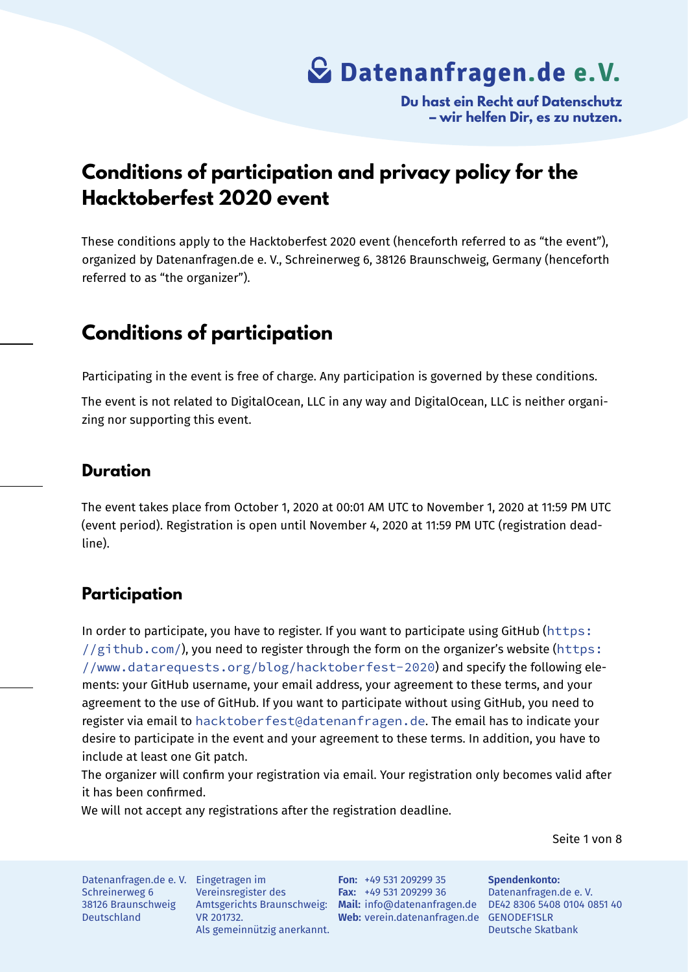**Du hast ein Recht auf Datenschutz – wir helfen Dir, es zu nutzen.**

### **Conditions of participation and privacy policy for the Hacktoberfest 2020 event**

These conditions apply to the Hacktoberfest 2020 event (henceforth referred to as "the event"), organized by Datenanfragen.de e. V., Schreinerweg 6, 38126 Braunschweig, Germany (henceforth referred to as "the organizer").

### **Conditions of participation**

Participating in the event is free of charge. Any participation is governed by these conditions.

The event is not related to DigitalOcean, LLC in any way and DigitalOcean, LLC is neither organizing nor supporting this event.

#### **Duration**

The event takes place from October 1, 2020 at 00:01 AM UTC to November 1, 2020 at 11:59 PM UTC (event period). Registration is open until November 4, 2020 at 11:59 PM UTC (registration deadline).

### **Participation**

In order to participate, you have to register. If you want to participate using GitHub (https:  $1/(github.com)$ , you need to register through the form on the organizer's website (https: //www.datarequests.org/blog/hacktoberfest-2020) and specify the following elements: your GitHub username, your email address, your agreement to these terms, [and your](https://github.com/) [agreement to the u](https://github.com/)se of GitHub. If you want to participate without using GitHub, you [need to](https://www.datarequests.org/blog/hacktoberfest-2020) register via email to [hacktoberfest@datenanfragen.de](https://www.datarequests.org/blog/hacktoberfest-2020). The email has to indicate your desire to participate in the event and your agreement to these terms. In addition, you have to include at least one Git patch.

The organizer will c[onfirm your registration via email. Your reg](mailto:hacktoberfest@datenanfragen.de)istration only becomes valid after it has been confirmed.

We will not accept any registrations after the registration deadline.

Seite 1 von 8

Datenanfragen.de e. V. Eingetragen im Schreinerweg 6 38126 Braunschweig Deutschland

Vereinsregister des VR 201732. Als gemeinnützig anerkannt.

Amtsgerichts Braunschweig: **Mail:** info@datenanfragen.de DE42 8306 5408 0104 0851 40 **Web:** verein.datenanfragen.de GENODEF1SLR **Fon:** +49 531 209299 35 **Fax:** +49 531 209299 36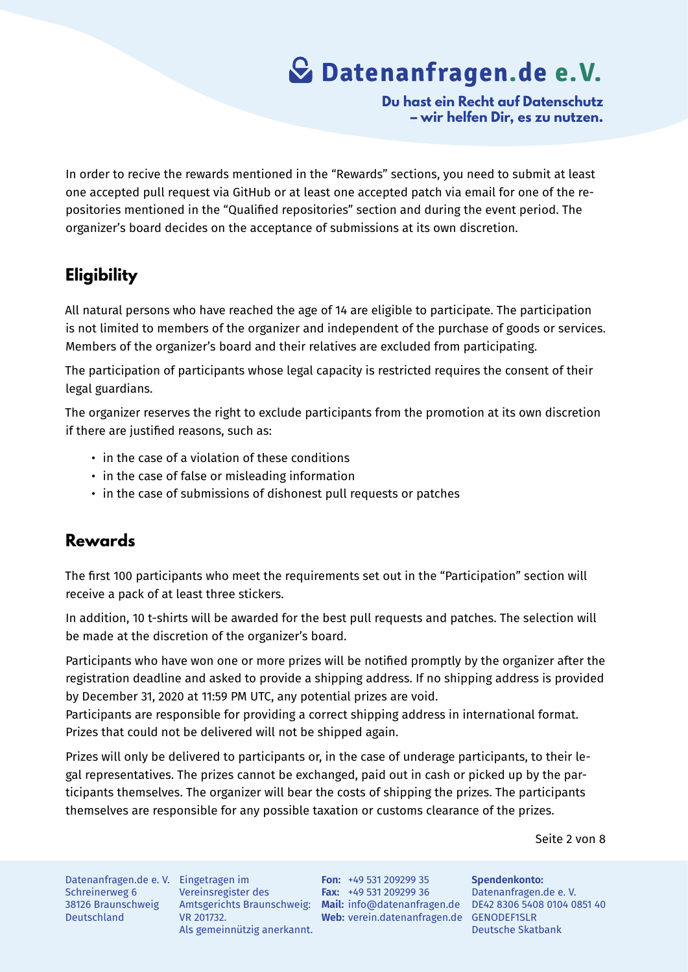**Du hast ein Recht auf Datenschutz – wir helfen Dir, es zu nutzen.**

In order to recive the rewards mentioned in the "Rewards" sections, you need to submit at least one accepted pull request via GitHub or at least one accepted patch via email for one of the repositories mentioned in the "Qualified repositories" section and during the event period. The organizer's board decides on the acceptance of submissions at its own discretion.

### **Eligibility**

All natural persons who have reached the age of 14 are eligible to participate. The participation is not limited to members of the organizer and independent of the purchase of goods or services. Members of the organizer's board and their relatives are excluded from participating.

The participation of participants whose legal capacity is restricted requires the consent of their legal guardians.

The organizer reserves the right to exclude participants from the promotion at its own discretion if there are justified reasons, such as:

- in the case of a violation of these conditions
- in the case of false or misleading information
- in the case of submissions of dishonest pull requests or patches

### **Rewards**

The first 100 participants who meet the requirements set out in the "Participation" section will receive a pack of at least three stickers.

In addition, 10 t-shirts will be awarded for the best pull requests and patches. The selection will be made at the discretion of the organizer's board.

Participants who have won one or more prizes will be notified promptly by the organizer after the registration deadline and asked to provide a shipping address. If no shipping address is provided by December 31, 2020 at 11:59 PM UTC, any potential prizes are void.

Participants are responsible for providing a correct shipping address in international format. Prizes that could not be delivered will not be shipped again.

Prizes will only be delivered to participants or, in the case of underage participants, to their legal representatives. The prizes cannot be exchanged, paid out in cash or picked up by the participants themselves. The organizer will bear the costs of shipping the prizes. The participants themselves are responsible for any possible taxation or customs clearance of the prizes.

Seite 2 von 8

Datenanfragen.de e. V. Eingetragen im Schreinerweg 6 38126 Braunschweig Deutschland

Vereinsregister des VR 201732. Als gemeinnützig anerkannt.

Amtsgerichts Braunschweig: **Mail:** info@datenanfragen.de DE42 8306 5408 0104 0851 40 **Web:** verein.datenanfragen.de GENODEF1SLR **Fon:** +49 531 209299 35 **Fax:** +49 531 209299 36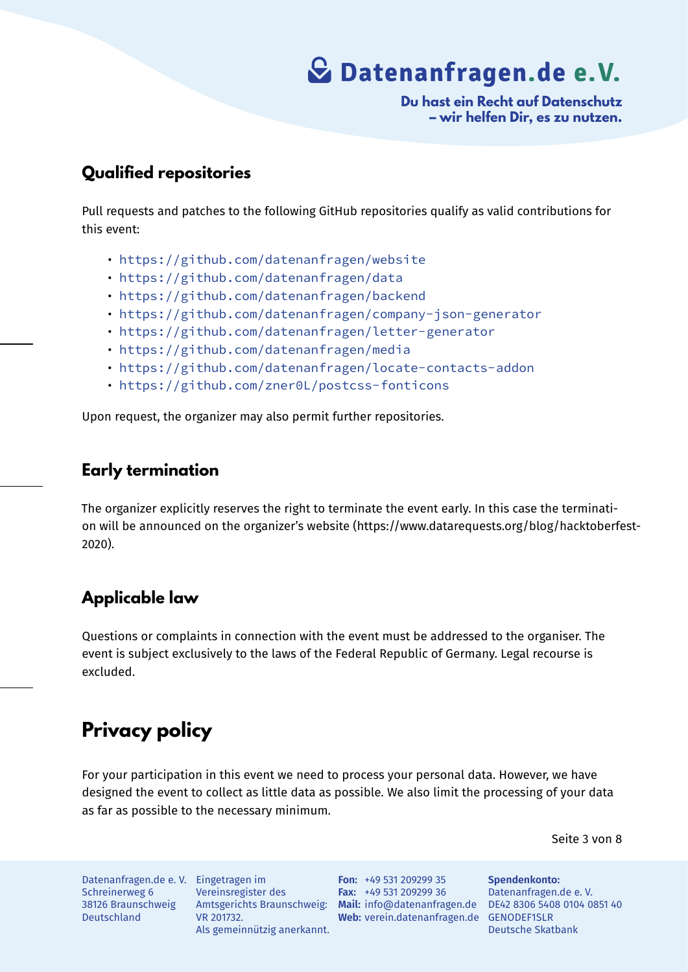**Du hast ein Recht auf Datenschutz – wir helfen Dir, es zu nutzen.**

### **Qualified repositories**

Pull requests and patches to the following GitHub repositories qualify as valid contributions for this event:

- https://github.com/datenanfragen/website
- https://github.com/datenanfragen/data
- https://github.com/datenanfragen/backend
- [https://github.com/datenanfragen/company-](https://github.com/datenanfragen/website)json-generator
- [https://github.com/datenanfragen/lette](https://github.com/datenanfragen/data)r-generator
- [https://github.com/datenanfragen/media](https://github.com/datenanfragen/backend)
- [https://github.com/datenanfragen/locate-contacts-addon](https://github.com/datenanfragen/company-json-generator)
- [https://github.com/zner0L/postcss-fonticons](https://github.com/datenanfragen/letter-generator)

Upon [request, the organizer may also permit further repositories.](https://github.com/datenanfragen/locate-contacts-addon)

### **Early termination**

The organizer explicitly reserves the right to terminate the event early. In this case the termination will be announced on the organizer's website (https://www.datarequests.org/blog/hacktoberfest-2020).

### **Applicable law**

Questions or complaints in connection with the event must be addressed to the organiser. The event is subject exclusively to the laws of the Federal Republic of Germany. Legal recourse is excluded.

### **Privacy policy**

For your participation in this event we need to process your personal data. However, we have designed the event to collect as little data as possible. We also limit the processing of your data as far as possible to the necessary minimum.

Seite 3 von 8

Datenanfragen.de e. V. Eingetragen im Schreinerweg 6 38126 Braunschweig Deutschland

Vereinsregister des VR 201732. Als gemeinnützig anerkannt.

Amtsgerichts Braunschweig: **Mail:** info@datenanfragen.de DE42 8306 5408 0104 0851 40 **Web:** verein.datenanfragen.de GENODEF1SLR **Fon:** +49 531 209299 35 **Fax:** +49 531 209299 36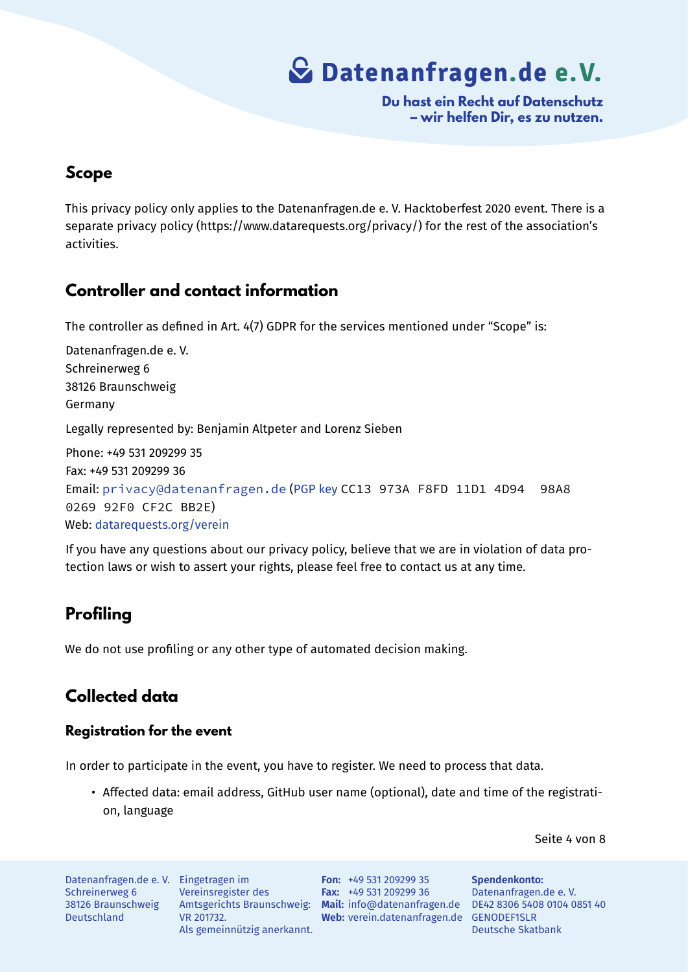**Du hast ein Recht auf Datenschutz – wir helfen Dir, es zu nutzen.**

### **Scope**

This privacy policy only applies to the Datenanfragen.de e. V. Hacktoberfest 2020 event. There is a separate privacy policy (https://www.datarequests.org/privacy/) for the rest of the association's activities.

### **Controller and contact information**

The controller as defined in Art. 4(7) GDPR for the services mentioned under "Scope" is:

Datenanfragen.de e. V. Schreinerweg 6 38126 Braunschweig Germany Legally represented by: Benjamin Altpeter and Lorenz Sieben Phone: +49 531 209299 35 Fax: +49 531 209299 36 Email: privacy@datenanfragen.de (PGP key CC13 973A F8FD 11D1 4D94 98A8 0269 92F0 CF2C BB2E) Web: datarequests.org/verein

If you [have any questions about our priv](mailto:privacy@datenanfragen.de)[acy polic](https://www.datenanfragen.de/pgp/CF2CBB2E.asc)y, believe that we are in violation of data protection laws or wish to assert your rights, please feel free to contact us at any time.

### **Profiling**

We do not use profiling or any other type of automated decision making.

### **Collected data**

#### **Registration for the event**

In order to participate in the event, you have to register. We need to process that data.

• Affected data: email address, GitHub user name (optional), date and time of the registration, language

Seite 4 von 8

Datenanfragen.de e. V. Eingetragen im Schreinerweg 6 38126 Braunschweig Deutschland

Vereinsregister des VR 201732. Als gemeinnützig anerkannt.

Amtsgerichts Braunschweig: **Mail:** info@datenanfragen.de DE42 8306 5408 0104 0851 40 **Web:** verein.datenanfragen.de GENODEF1SLR **Fon:** +49 531 209299 35 **Fax:** +49 531 209299 36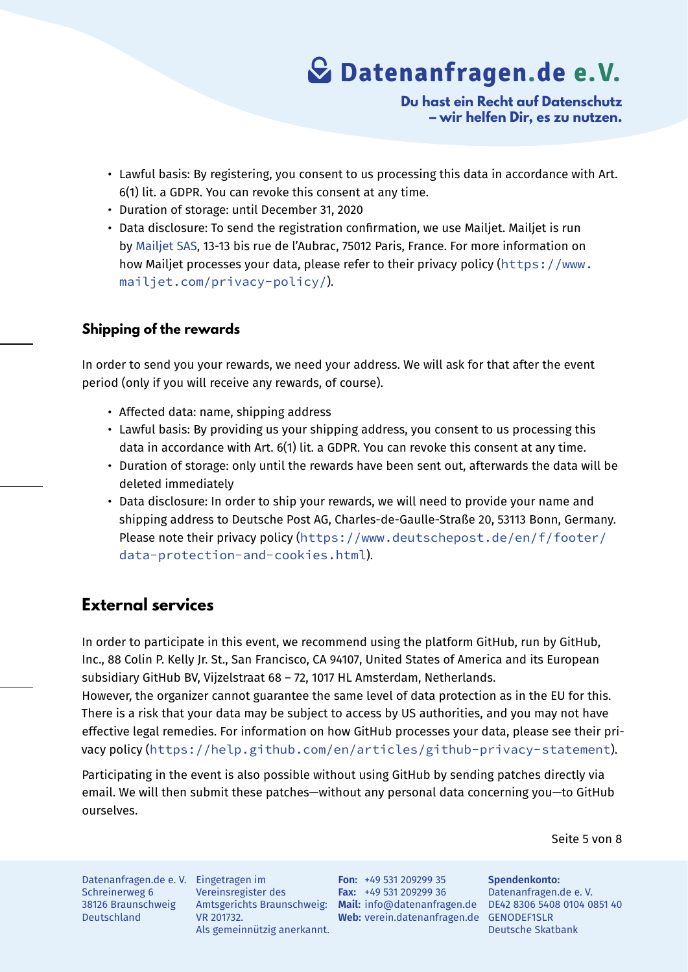**Du hast ein Recht auf Datenschutz – wir helfen Dir, es zu nutzen.**

- Lawful basis: By registering, you consent to us processing this data in accordance with Art. 6(1) lit. a GDPR. You can revoke this consent at any time.
- Duration of storage: until December 31, 2020
- Data disclosure: To send the registration confirmation, we use Mailjet. Mailjet is run by Mailjet SAS, 13-13 bis rue de l'Aubrac, 75012 Paris, France. For more information on how Mailjet processes your data, please refer to their privacy policy (https://www. mailjet.com/privacy-policy/).

#### **Ship[ping of the rewards](https://www.mailjet.com/privacy-policy/)**

In order to send you your rewards, we need your address. We will ask for that after the event period (only if you will receive any rewards, of course).

- Affected data: name, shipping address
- Lawful basis: By providing us your shipping address, you consent to us processing this data in accordance with Art. 6(1) lit. a GDPR. You can revoke this consent at any time.
- Duration of storage: only until the rewards have been sent out, afterwards the data will be deleted immediately
- Data disclosure: In order to ship your rewards, we will need to provide your name and shipping address to Deutsche Post AG, Charles-de-Gaulle-Straße 20, 53113 Bonn, Germany. Please note their privacy policy (https://www.deutschepost.de/en/f/footer/ data-protection-and-cookies.html).

### **Exte[rnal services](https://www.deutschepost.de/en/f/footer/data-protection-and-cookies.html)**

In order to participate in this event, we recommend using the platform GitHub, run by GitHub, Inc., 88 Colin P. Kelly Jr. St., San Francisco, CA 94107, United States of America and its European subsidiary GitHub BV, Vijzelstraat 68 – 72, 1017 HL Amsterdam, Netherlands.

However, the organizer cannot guarantee the same level of data protection as in the EU for this. There is a risk that your data may be subject to access by US authorities, and you may not have effective legal remedies. For information on how GitHub processes your data, please see their privacy policy (https://help.github.com/en/articles/github-privacy-statement).

Participating in the event is also possible without using GitHub by sending patches directly via email. We w[ill then submit these patches—without any personal data concerning you—to GitHub](https://help.github.com/en/articles/github-privacy-statement) ourselves.

Seite 5 von 8

Datenanfragen.de e. V. Eingetragen im Schreinerweg 6 38126 Braunschweig Deutschland

Vereinsregister des VR 201732. Als gemeinnützig anerkannt.

Amtsgerichts Braunschweig: **Mail:** info@datenanfragen.de DE42 8306 5408 0104 0851 40 **Web:** verein.datenanfragen.de GENODEF1SLR **Fon:** +49 531 209299 35 **Fax:** +49 531 209299 36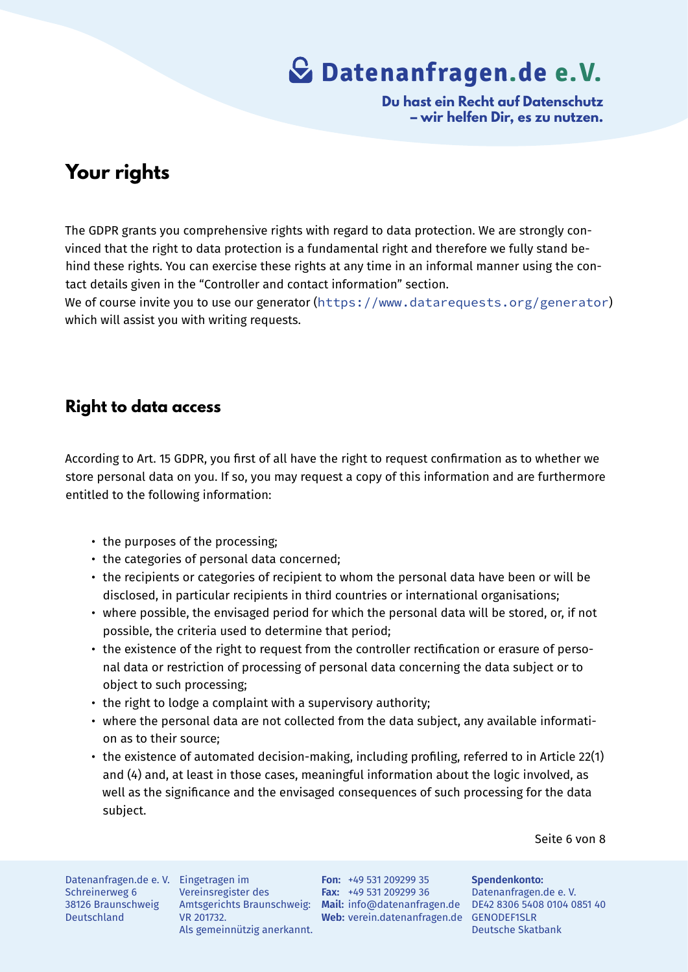**Du hast ein Recht auf Datenschutz – wir helfen Dir, es zu nutzen.**

### **Your rights**

The GDPR grants you comprehensive rights with regard to data protection. We are strongly convinced that the right to data protection is a fundamental right and therefore we fully stand behind these rights. You can exercise these rights at any time in an informal manner using the contact details given in the "Controller and contact information" section. We of course invite you to use our generator (https://www.datarequests.org/generator) which will assist you with writing requests.

### **Right to data access**

According to Art. 15 GDPR, you first of all have the right to request confirmation as to whether we store personal data on you. If so, you may request a copy of this information and are furthermore entitled to the following information:

- the purposes of the processing;
- the categories of personal data concerned;
- the recipients or categories of recipient to whom the personal data have been or will be disclosed, in particular recipients in third countries or international organisations;
- where possible, the envisaged period for which the personal data will be stored, or, if not possible, the criteria used to determine that period;
- the existence of the right to request from the controller rectification or erasure of personal data or restriction of processing of personal data concerning the data subject or to object to such processing;
- the right to lodge a complaint with a supervisory authority;
- where the personal data are not collected from the data subject, any available information as to their source;
- the existence of automated decision-making, including profiling, referred to in Article 22(1) and (4) and, at least in those cases, meaningful information about the logic involved, as well as the significance and the envisaged consequences of such processing for the data subject.

Seite 6 von 8

Datenanfragen.de e. V. Eingetragen im Schreinerweg 6 38126 Braunschweig Deutschland

Vereinsregister des VR 201732. Als gemeinnützig anerkannt.

Amtsgerichts Braunschweig: **Mail:** info@datenanfragen.de DE42 8306 5408 0104 0851 40 **Web:** verein.datenanfragen.de GENODEF1SLR **Fon:** +49 531 209299 35 **Fax:** +49 531 209299 36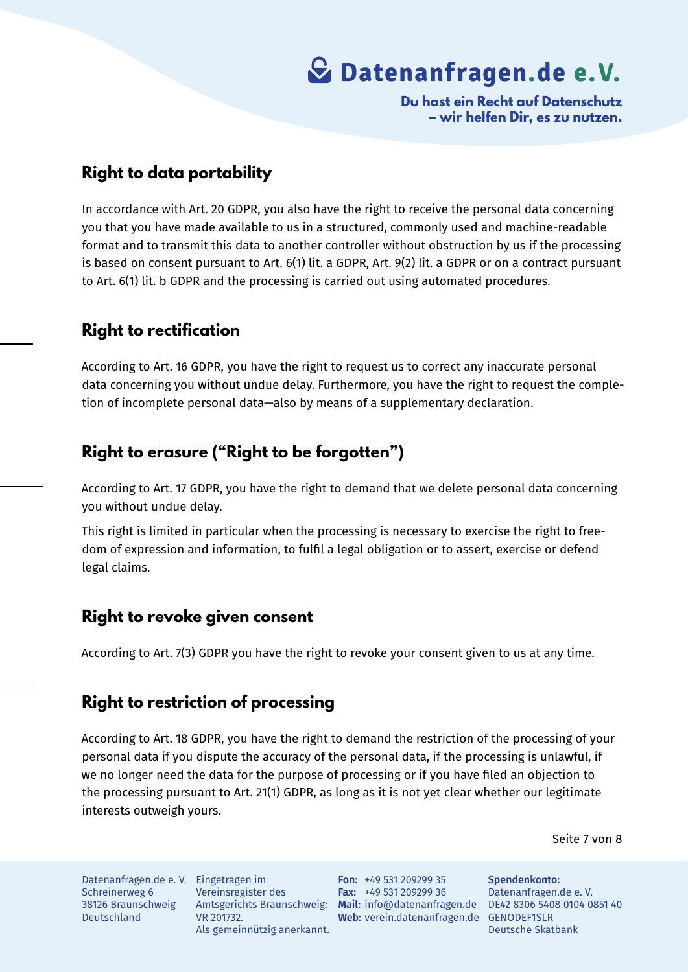**Du hast ein Recht auf Datenschutz – wir helfen Dir, es zu nutzen.**

### **Right to data portability**

In accordance with Art. 20 GDPR, you also have the right to receive the personal data concerning you that you have made available to us in a structured, commonly used and machine-readable format and to transmit this data to another controller without obstruction by us if the processing is based on consent pursuant to Art. 6(1) lit. a GDPR, Art. 9(2) lit. a GDPR or on a contract pursuant to Art. 6(1) lit. b GDPR and the processing is carried out using automated procedures.

### **Right to rectification**

According to Art. 16 GDPR, you have the right to request us to correct any inaccurate personal data concerning you without undue delay. Furthermore, you have the right to request the completion of incomplete personal data—also by means of a supplementary declaration.

### **Right to erasure ("Right to be forgotten")**

According to Art. 17 GDPR, you have the right to demand that we delete personal data concerning you without undue delay.

This right is limited in particular when the processing is necessary to exercise the right to freedom of expression and information, to fulfil a legal obligation or to assert, exercise or defend legal claims.

### **Right to revoke given consent**

According to Art. 7(3) GDPR you have the right to revoke your consent given to us at any time.

### **Right to restriction of processing**

According to Art. 18 GDPR, you have the right to demand the restriction of the processing of your personal data if you dispute the accuracy of the personal data, if the processing is unlawful, if we no longer need the data for the purpose of processing or if you have filed an objection to the processing pursuant to Art. 21(1) GDPR, as long as it is not yet clear whether our legitimate interests outweigh yours.

Seite 7 von 8

Datenanfragen.de e. V. Eingetragen im Schreinerweg 6 38126 Braunschweig Deutschland

Vereinsregister des Amtsgerichts Braunschweig: VR 201732. Als gemeinnützig anerkannt.

**Mail:** info@datenanfragen.de DE42 8306 5408 0104 0851 40 Web: verein.datenanfragen.de GENODEF1SLR **Fon:** +49 531 209299 35 **Fax:** +49 531 209299 36